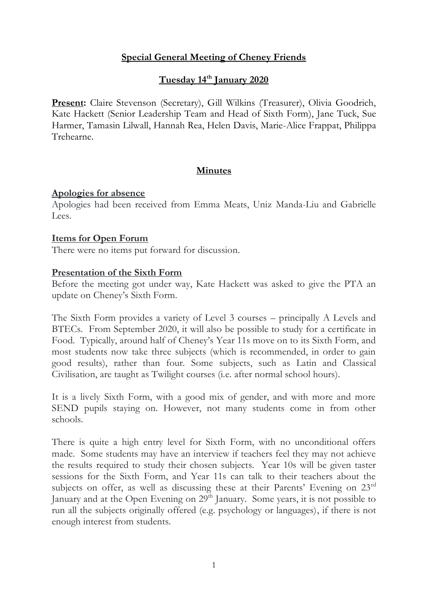## **Special General Meeting of Cheney Friends**

## **Tuesday 14th January 2020**

**Present:** Claire Stevenson (Secretary), Gill Wilkins (Treasurer), Olivia Goodrich, Kate Hackett (Senior Leadership Team and Head of Sixth Form), Jane Tuck, Sue Harmer, Tamasin Lilwall, Hannah Rea, Helen Davis, Marie-Alice Frappat, Philippa Trehearne.

### **Minutes**

#### **Apologies for absence**

Apologies had been received from Emma Meats, Uniz Manda-Liu and Gabrielle Lees.

#### **Items for Open Forum**

There were no items put forward for discussion.

### **Presentation of the Sixth Form**

Before the meeting got under way, Kate Hackett was asked to give the PTA an update on Cheney's Sixth Form.

The Sixth Form provides a variety of Level 3 courses – principally A Levels and BTECs. From September 2020, it will also be possible to study for a certificate in Food. Typically, around half of Cheney's Year 11s move on to its Sixth Form, and most students now take three subjects (which is recommended, in order to gain good results), rather than four. Some subjects, such as Latin and Classical Civilisation, are taught as Twilight courses (i.e. after normal school hours).

It is a lively Sixth Form, with a good mix of gender, and with more and more SEND pupils staying on. However, not many students come in from other schools.

There is quite a high entry level for Sixth Form, with no unconditional offers made. Some students may have an interview if teachers feel they may not achieve the results required to study their chosen subjects. Year 10s will be given taster sessions for the Sixth Form, and Year 11s can talk to their teachers about the subjects on offer, as well as discussing these at their Parents' Evening on 23rd January and at the Open Evening on  $29<sup>th</sup>$  January. Some years, it is not possible to run all the subjects originally offered (e.g. psychology or languages), if there is not enough interest from students.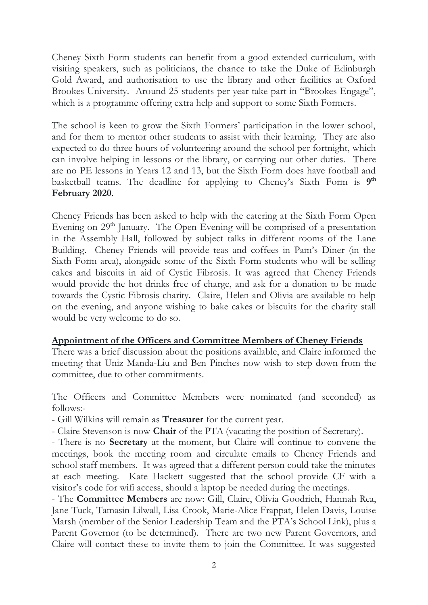Cheney Sixth Form students can benefit from a good extended curriculum, with visiting speakers, such as politicians, the chance to take the Duke of Edinburgh Gold Award, and authorisation to use the library and other facilities at Oxford Brookes University. Around 25 students per year take part in "Brookes Engage", which is a programme offering extra help and support to some Sixth Formers.

The school is keen to grow the Sixth Formers' participation in the lower school, and for them to mentor other students to assist with their learning. They are also expected to do three hours of volunteering around the school per fortnight, which can involve helping in lessons or the library, or carrying out other duties. There are no PE lessons in Years 12 and 13, but the Sixth Form does have football and basketball teams. The deadline for applying to Cheney's Sixth Form is 9<sup>th</sup> **February 2020**.

Cheney Friends has been asked to help with the catering at the Sixth Form Open Evening on 29<sup>th</sup> January. The Open Evening will be comprised of a presentation in the Assembly Hall, followed by subject talks in different rooms of the Lane Building. Cheney Friends will provide teas and coffees in Pam's Diner (in the Sixth Form area), alongside some of the Sixth Form students who will be selling cakes and biscuits in aid of Cystic Fibrosis. It was agreed that Cheney Friends would provide the hot drinks free of charge, and ask for a donation to be made towards the Cystic Fibrosis charity. Claire, Helen and Olivia are available to help on the evening, and anyone wishing to bake cakes or biscuits for the charity stall would be very welcome to do so.

### **Appointment of the Officers and Committee Members of Cheney Friends**

There was a brief discussion about the positions available, and Claire informed the meeting that Uniz Manda-Liu and Ben Pinches now wish to step down from the committee, due to other commitments.

The Officers and Committee Members were nominated (and seconded) as follows:-

- Gill Wilkins will remain as **Treasurer** for the current year.

- Claire Stevenson is now **Chair** of the PTA (vacating the position of Secretary).

- There is no **Secretary** at the moment, but Claire will continue to convene the meetings, book the meeting room and circulate emails to Cheney Friends and school staff members. It was agreed that a different person could take the minutes at each meeting. Kate Hackett suggested that the school provide CF with a visitor's code for wifi access, should a laptop be needed during the meetings.

- The **Committee Members** are now: Gill, Claire, Olivia Goodrich, Hannah Rea, Jane Tuck, Tamasin Lilwall, Lisa Crook, Marie-Alice Frappat, Helen Davis, Louise Marsh (member of the Senior Leadership Team and the PTA's School Link), plus a Parent Governor (to be determined). There are two new Parent Governors, and Claire will contact these to invite them to join the Committee. It was suggested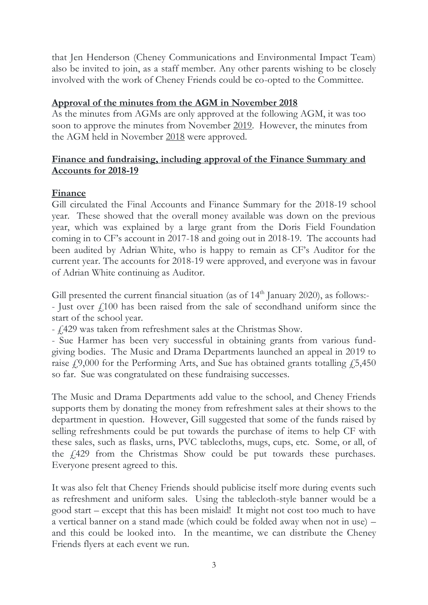that Jen Henderson (Cheney Communications and Environmental Impact Team) also be invited to join, as a staff member. Any other parents wishing to be closely involved with the work of Cheney Friends could be co-opted to the Committee.

### **Approval of the minutes from the AGM in November 2018**

As the minutes from AGMs are only approved at the following AGM, it was too soon to approve the minutes from November 2019. However, the minutes from the AGM held in November 2018 were approved.

## **Finance and fundraising, including approval of the Finance Summary and Accounts for 2018-19**

# **Finance**

Gill circulated the Final Accounts and Finance Summary for the 2018-19 school year. These showed that the overall money available was down on the previous year, which was explained by a large grant from the Doris Field Foundation coming in to CF's account in 2017-18 and going out in 2018-19. The accounts had been audited by Adrian White, who is happy to remain as CF's Auditor for the current year. The accounts for 2018-19 were approved, and everyone was in favour of Adrian White continuing as Auditor.

Gill presented the current financial situation (as of  $14<sup>th</sup>$  January 2020), as follows:-

- Just over  $f100$  has been raised from the sale of secondhand uniform since the start of the school year.

- £429 was taken from refreshment sales at the Christmas Show.

- Sue Harmer has been very successful in obtaining grants from various fundgiving bodies. The Music and Drama Departments launched an appeal in 2019 to raise  $\dot{f}$ ,9,000 for the Performing Arts, and Sue has obtained grants totalling  $\dot{f}$ ,5,450 so far. Sue was congratulated on these fundraising successes.

The Music and Drama Departments add value to the school, and Cheney Friends supports them by donating the money from refreshment sales at their shows to the department in question. However, Gill suggested that some of the funds raised by selling refreshments could be put towards the purchase of items to help CF with these sales, such as flasks, urns, PVC tablecloths, mugs, cups, etc. Some, or all, of the £429 from the Christmas Show could be put towards these purchases. Everyone present agreed to this.

It was also felt that Cheney Friends should publicise itself more during events such as refreshment and uniform sales. Using the tablecloth-style banner would be a good start – except that this has been mislaid! It might not cost too much to have a vertical banner on a stand made (which could be folded away when not in use) – and this could be looked into. In the meantime, we can distribute the Cheney Friends flyers at each event we run.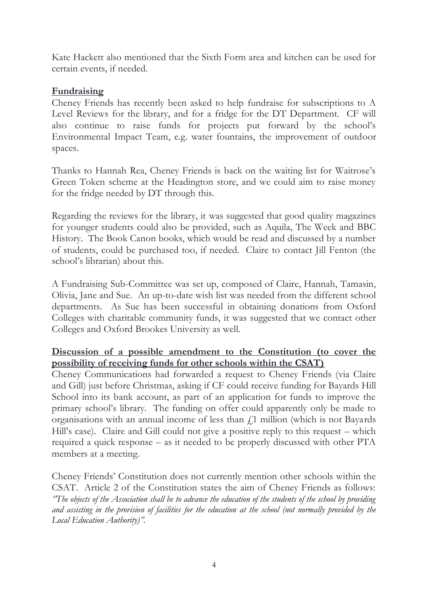Kate Hackett also mentioned that the Sixth Form area and kitchen can be used for certain events, if needed.

### **Fundraising**

Cheney Friends has recently been asked to help fundraise for subscriptions to A Level Reviews for the library, and for a fridge for the DT Department. CF will also continue to raise funds for projects put forward by the school's Environmental Impact Team, e.g. water fountains, the improvement of outdoor spaces.

Thanks to Hannah Rea, Cheney Friends is back on the waiting list for Waitrose's Green Token scheme at the Headington store, and we could aim to raise money for the fridge needed by DT through this.

Regarding the reviews for the library, it was suggested that good quality magazines for younger students could also be provided, such as Aquila, The Week and BBC History. The Book Canon books, which would be read and discussed by a number of students, could be purchased too, if needed. Claire to contact Jill Fenton (the school's librarian) about this.

A Fundraising Sub-Committee was set up, composed of Claire, Hannah, Tamasin, Olivia, Jane and Sue. An up-to-date wish list was needed from the different school departments. As Sue has been successful in obtaining donations from Oxford Colleges with charitable community funds, it was suggested that we contact other Colleges and Oxford Brookes University as well.

### **Discussion of a possible amendment to the Constitution (to cover the possibility of receiving funds for other schools within the CSAT)**

Cheney Communications had forwarded a request to Cheney Friends (via Claire and Gill) just before Christmas, asking if CF could receive funding for Bayards Hill School into its bank account, as part of an application for funds to improve the primary school's library. The funding on offer could apparently only be made to organisations with an annual income of less than  $f<sub>1</sub>$  million (which is not Bayards Hill's case). Claire and Gill could not give a positive reply to this request – which required a quick response – as it needed to be properly discussed with other PTA members at a meeting.

Cheney Friends' Constitution does not currently mention other schools within the CSAT. Article 2 of the Constitution states the aim of Cheney Friends as follows: *"The objects of the Association shall be to advance the education of the students of the school by providing and assisting in the provision of facilities for the education at the school (not normally provided by the Local Education Authority)".*